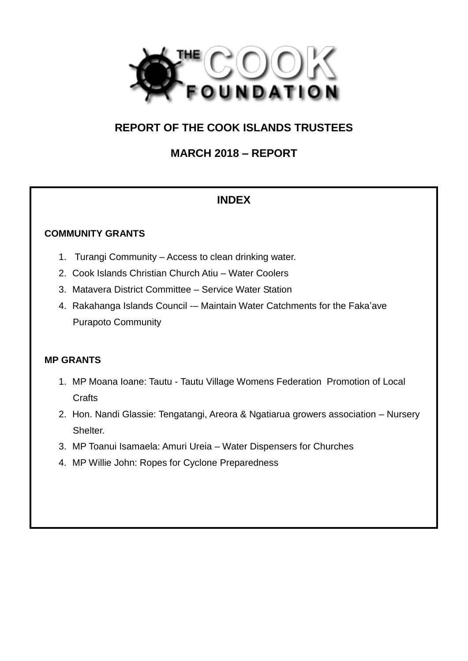

# **REPORT OF THE COOK ISLANDS TRUSTEES**

**MARCH 2018 – REPORT** 

# **INDEX**

### **COMMUNITY GRANTS**

- 1. Turangi Community Access to clean drinking water.
- 2. Cook Islands Christian Church Atiu Water Coolers
- 3. Matavera District Committee Service Water Station
- 4. Rakahanga Islands Council -– Maintain Water Catchments for the Faka'ave Purapoto Community

## **MP GRANTS**

- 1. MP Moana Ioane: Tautu Tautu Village Womens Federation Promotion of Local **Crafts**
- 2. Hon. Nandi Glassie: Tengatangi, Areora & Ngatiarua growers association Nursery Shelter.
- 3. MP Toanui Isamaela: Amuri Ureia Water Dispensers for Churches
- 4. MP Willie John: Ropes for Cyclone Preparedness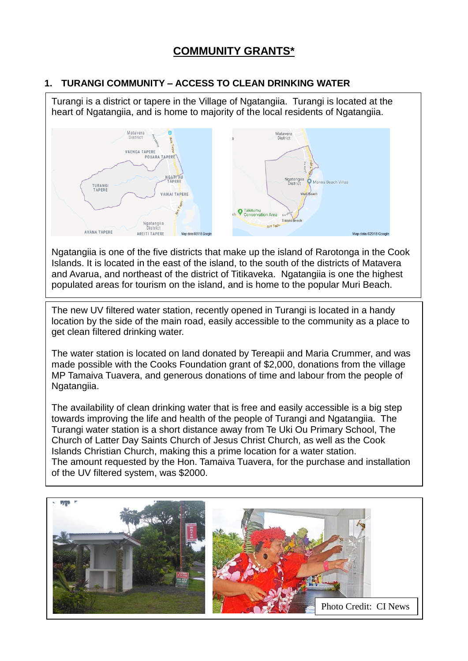# **COMMUNITY GRANTS\***

#### **1. TURANGI COMMUNITY – ACCESS TO CLEAN DRINKING WATER**

Turangi is a district or tapere in the Village of Ngatangiia. Turangi is located at the heart of Ngatangiia, and is home to majority of the local residents of Ngatangiia. Matavera Matavera<br>District District **VAENGA TAPERE POUARA TAPERE NGATI AU** Ngatangiia<br>District Manea Beach Villas TURANG<br>TAPERE VAIKAI TAPERE Conservation Area Ngatangiia Ara Tapu AVANA TAPERE Map data ©2018 Google **AREITI TAPERE** Map data @2018 Googl

Ngatangiia is one of the five districts that make up the island of Rarotonga in the Cook Islands. It is located in the east of the island, to the south of the districts of Matavera and Avarua, and northeast of the district of Titikaveka. Ngatangiia is one the highest populated areas for tourism on the island, and is home to the popular Muri Beach.

The new UV filtered water station, recently opened in Turangi is located in a handy location by the side of the main road, easily accessible to the community as a place to get clean filtered drinking water.

The water station is located on land donated by Tereapii and Maria Crummer, and was made possible with the Cooks Foundation grant of \$2,000, donations from the village MP Tamaiva Tuavera, and generous donations of time and labour from the people of Ngatangiia.

The availability of clean drinking water that is free and easily accessible is a big step towards improving the life and health of the people of Turangi and Ngatangiia. The Turangi water station is a short distance away from Te Uki Ou Primary School, The Church of Latter Day Saints Church of Jesus Christ Church, as well as the Cook Islands Christian Church, making this a prime location for a water station. The amount requested by the Hon. Tamaiva Tuavera, for the purchase and installation of the UV filtered system, was \$2000.

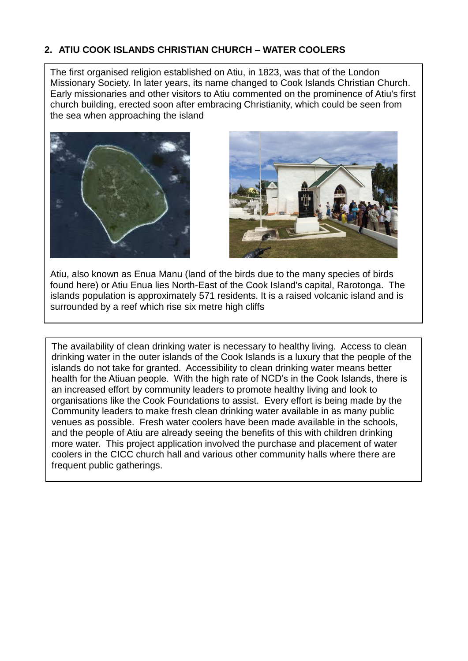### **2. ATIU COOK ISLANDS CHRISTIAN CHURCH – WATER COOLERS**

The first organised religion established on Atiu, in 1823, was that of the London Missionary Society. In later years, its name changed to Cook Islands Christian Church. Early missionaries and other visitors to Atiu commented on the prominence of Atiu's first church building, erected soon after embracing Christianity, which could be seen from the sea when approaching the island





Atiu, also known as Enua Manu (land of the birds due to the many species of birds found here) or Atiu Enua lies North-East of the Cook Island's capital, Rarotonga. The islands population is approximately 571 residents. It is a raised volcanic island and is surrounded by a reef which rise six metre high cliffs

The availability of clean drinking water is necessary to healthy living. Access to clean drinking water in the outer islands of the Cook Islands is a luxury that the people of the islands do not take for granted. Accessibility to clean drinking water means better health for the Atiuan people. With the high rate of NCD's in the Cook Islands, there is an increased effort by community leaders to promote healthy living and look to organisations like the Cook Foundations to assist. Every effort is being made by the Community leaders to make fresh clean drinking water available in as many public venues as possible. Fresh water coolers have been made available in the schools, and the people of Atiu are already seeing the benefits of this with children drinking more water. This project application involved the purchase and placement of water coolers in the CICC church hall and various other community halls where there are frequent public gatherings.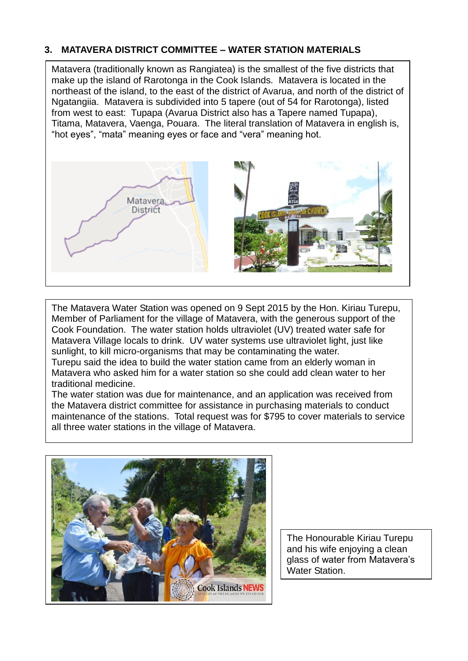#### **3. MATAVERA DISTRICT COMMITTEE – WATER STATION MATERIALS**

Matavera (traditionally known as Rangiatea) is the smallest of the five districts that make up the island of Rarotonga in the Cook Islands. Matavera is located in the northeast of the island, to the east of the district of Avarua, and north of the district of Ngatangiia. Matavera is subdivided into 5 tapere (out of 54 for Rarotonga), listed from west to east: Tupapa (Avarua District also has a Tapere named Tupapa), Titama, Matavera, Vaenga, Pouara. The literal translation of Matavera in english is, "hot eyes", "mata" meaning eyes or face and "vera" meaning hot.



The Matavera Water Station was opened on 9 Sept 2015 by the Hon. Kiriau Turepu, Member of Parliament for the village of Matavera, with the generous support of the Cook Foundation. The water station holds ultraviolet (UV) treated water safe for Matavera Village locals to drink. UV water systems use ultraviolet light, just like sunlight, to kill micro-organisms that may be contaminating the water.

Turepu said the idea to build the water station came from an elderly woman in Matavera who asked him for a water station so she could add clean water to her traditional medicine.

The water station was due for maintenance, and an application was received from the Matavera district committee for assistance in purchasing materials to conduct maintenance of the stations. Total request was for \$795 to cover materials to service all three water stations in the village of Matavera.



The Honourable Kiriau Turepu and his wife enjoying a clean glass of water from Matavera's Water Station.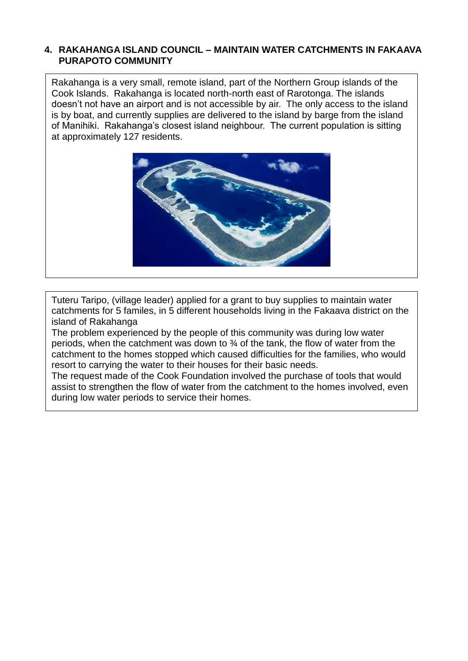#### **4. RAKAHANGA ISLAND COUNCIL – MAINTAIN WATER CATCHMENTS IN FAKAAVA PURAPOTO COMMUNITY**

Rakahanga is a very small, remote island, part of the Northern Group islands of the Cook Islands. Rakahanga is located north-north east of Rarotonga. The islands doesn't not have an airport and is not accessible by air. The only access to the island is by boat, and currently supplies are delivered to the island by barge from the island of Manihiki. Rakahanga's closest island neighbour. The current population is sitting at approximately 127 residents.



Tuteru Taripo, (village leader) applied for a grant to buy supplies to maintain water catchments for 5 familes, in 5 different households living in the Fakaava district on the island of Rakahanga

The problem experienced by the people of this community was during low water periods, when the catchment was down to ¾ of the tank, the flow of water from the catchment to the homes stopped which caused difficulties for the families, who would resort to carrying the water to their houses for their basic needs.

The request made of the Cook Foundation involved the purchase of tools that would assist to strengthen the flow of water from the catchment to the homes involved, even during low water periods to service their homes.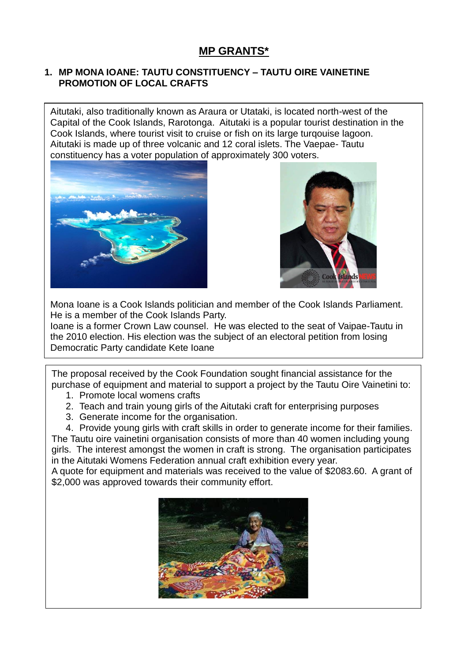#### **1. MP MONA IOANE: TAUTU CONSTITUENCY – TAUTU OIRE VAINETINE PROMOTION OF LOCAL CRAFTS**

Aitutaki, also traditionally known as Araura or Utataki, is located north-west of the Capital of the Cook Islands, Rarotonga. Aitutaki is a popular tourist destination in the Cook Islands, where tourist visit to cruise or fish on its large turqouise lagoon. Aitutaki is made up of three volcanic and 12 coral islets. The Vaepae- Tautu constituency has a voter population of approximately 300 voters.





Mona Ioane is a Cook Islands politician and member of the Cook Islands Parliament. He is a member of the Cook Islands Party.

Ioane is a former Crown Law counsel. He was elected to the seat of Vaipae-Tautu in the 2010 election. His election was the subject of an electoral petition from losing Democratic Party candidate Kete Ioane

The proposal received by the Cook Foundation sought financial assistance for the purchase of equipment and material to support a project by the Tautu Oire Vainetini to: 1. Promote local womens crafts

- 2. Teach and train young girls of the Aitutaki craft for enterprising purposes
- 3. Generate income for the organisation.

4. Provide young girls with craft skills in order to generate income for their families. The Tautu oire vainetini organisation consists of more than 40 women including young girls. The interest amongst the women in craft is strong. The organisation participates in the Aitutaki Womens Federation annual craft exhibition every year.

A quote for equipment and materials was received to the value of \$2083.60. A grant of \$2,000 was approved towards their community effort.

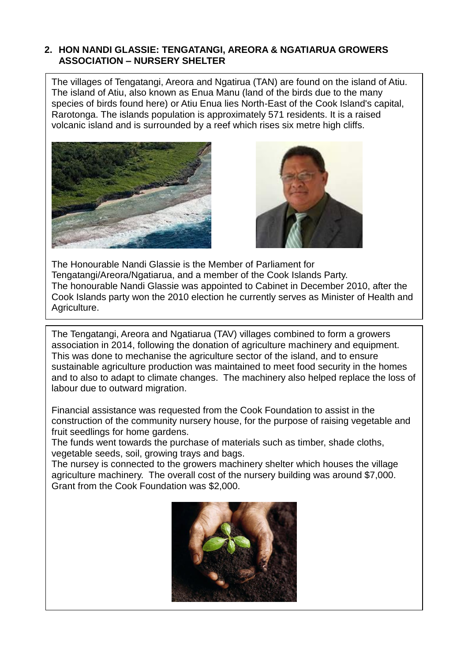#### **2. HON NANDI GLASSIE: TENGATANGI, AREORA & NGATIARUA GROWERS ASSOCIATION – NURSERY SHELTER**

The villages of Tengatangi, Areora and Ngatirua (TAN) are found on the island of Atiu. The island of Atiu, also known as Enua Manu (land of the birds due to the many species of birds found here) or Atiu Enua lies North-East of the Cook Island's capital, Rarotonga. The islands population is approximately 571 residents. It is a raised volcanic island and is surrounded by a reef which rises six metre high cliffs.





The Honourable Nandi Glassie is the Member of Parliament for Tengatangi/Areora/Ngatiarua, and a member of the Cook Islands Party. The honourable Nandi Glassie was appointed to Cabinet in December 2010, after the Cook Islands party won the 2010 election he currently serves as Minister of Health and Agriculture.

The Tengatangi, Areora and Ngatiarua (TAV) villages combined to form a growers association in 2014, following the donation of agriculture machinery and equipment. This was done to mechanise the agriculture sector of the island, and to ensure sustainable agriculture production was maintained to meet food security in the homes and to also to adapt to climate changes. The machinery also helped replace the loss of labour due to outward migration.

Financial assistance was requested from the Cook Foundation to assist in the construction of the community nursery house, for the purpose of raising vegetable and fruit seedlings for home gardens.

The funds went towards the purchase of materials such as timber, shade cloths, vegetable seeds, soil, growing trays and bags.

The nursey is connected to the growers machinery shelter which houses the village agriculture machinery. The overall cost of the nursery building was around \$7,000. Grant from the Cook Foundation was \$2,000.

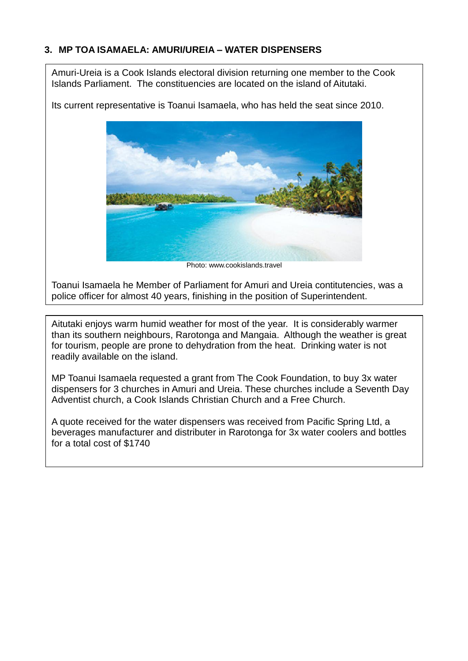### **3. MP TOA ISAMAELA: AMURI/UREIA – WATER DISPENSERS**

Amuri-Ureia is a Cook Islands electoral division returning one member to the Cook Islands Parliament. The constituencies are located on the island of Aitutaki.

Its current representative is Toanui Isamaela, who has held the seat since 2010.



Photo: www.cookislands.travel

Toanui Isamaela he Member of Parliament for Amuri and Ureia contitutencies, was a police officer for almost 40 years, finishing in the position of Superintendent.

Aitutaki enjoys warm humid weather for most of the year. It is considerably warmer than its southern neighbours, Rarotonga and Mangaia. Although the weather is great for tourism, people are prone to dehydration from the heat. Drinking water is not readily available on the island.

MP Toanui Isamaela requested a grant from The Cook Foundation, to buy 3x water dispensers for 3 churches in Amuri and Ureia. These churches include a Seventh Day Adventist church, a Cook Islands Christian Church and a Free Church.

A quote received for the water dispensers was received from Pacific Spring Ltd, a beverages manufacturer and distributer in Rarotonga for 3x water coolers and bottles for a total cost of \$1740